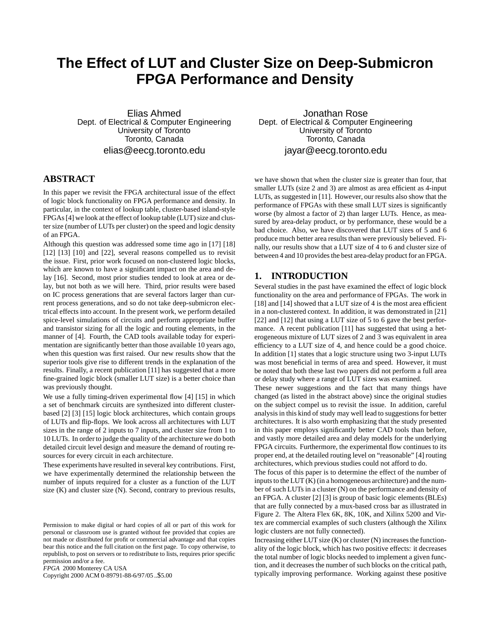# **The Effect of LUT and Cluster Size on Deep-Submicron FPGA Performance and Density**

Elias Ahmed Dept. of Electrical & Computer Engineering University of Toronto Toronto, Canada elias@eecg.toronto.edu

# **ABSTRACT**

In this paper we revisit the FPGA architectural issue of the effect of logic block functionality on FPGA performance and density. In particular, in the context of lookup table, cluster-based island-style  $FPGAs [4]$  we look at the effect of lookup table (LUT) size and cluster size (number of LUTs per cluster) on the speed and logic density of an FPGA.

Although this question was addressed some time ago in [17] [18] [12] [13] [10] and [22], several reasons compelled us to revisit the issue. First, prior work focused on non-clustered logic blocks, which are known to have a significant impact on the area and delay [16]. Second, most prior studies tended to look at area or delay, but not both as we will here. Third, prior results were based on IC process generations that are several factors larger than current process generations, and so do not take deep-submicron electrical effects into account. In the present work, we perform detailed spice-level simulations of circuits and perform appropriate buffer and transistor sizing for all the logic and routing elements, in the manner of [4]. Fourth, the CAD tools available today for experimentation are significantly better than those available 10 years ago, when this question was first raised. Our new results show that the superior tools give rise to different trends in the explanation of the results. Finally, a recent publication [11] has suggested that a more fine-grained logic block (smaller LUT size) is a better choice than was previously thought.

We use a fully timing-driven experimental flow [4] [15] in which a set of benchmark circuits are synthesized into different clusterbased [2] [3] [15] logic block architectures, which contain groups of LUTs and flip-flops. We look across all architectures with LUT sizes in the range of 2 inputs to 7 inputs, and cluster size from 1 to 10 LUTs. In orderto judge the quality of the architecture we do both detailed circuit level design and measure the demand of routing resources for every circuit in each architecture.

These experiments have resulted in several key contributions. First, we have experimentally determined the relationship between the number of inputs required for a cluster as a function of the LUT size (K) and cluster size (N). Second, contrary to previous results,

*FPGA* 2000 Monterey CA USA

Copyright 2000 ACM 0-89791-88-6/97/05 ..\$5.00

Jonathan Rose Dept. of Electrical & Computer Engineering University of Toronto Toronto, Canada jayar@eecg.toronto.edu

we have shown that when the cluster size is greater than four, that smaller LUTs (size 2 and 3) are almost as area efficient as 4-input LUTs, as suggested in [11]. However, our results also show that the performance of FPGAs with these small LUT sizes is significantly worse (by almost a factor of 2) than larger LUTs. Hence, as measured by area-delay product, or by performance, these would be a bad choice. Also, we have discovered that LUT sizes of 5 and 6 produce much better area results than were previously believed. Finally, our results show that a LUT size of 4 to 6 and cluster size of between 4 and 10 provides the best area-delay product for an FPGA.

## **1. INTRODUCTION**

Several studies in the past have examined the effect of logic block functionality on the area and performance of FPGAs. The work in [18] and [14] showed that a LUT size of 4 is the most area efficient in a non-clustered context. In addition, it was demonstrated in [21] [22] and [12] that using a LUT size of 5 to 6 gave the best performance. A recent publication [11] has suggested that using a heterogeneous mixture of LUT sizes of 2 and 3 was equivalent in area efficiency to a LUT size of 4, and hence could be a good choice. In addition [1] states that a logic structure using two 3-input LUTs was most beneficial in terms of area and speed. However, it must be noted that both these last two papers did not perform a full area or delay study where a range of LUT sizes was examined.

These newer suggestions and the fact that many things have changed (as listed in the abstract above) since the original studies on the subject compel us to revisit the issue. In addition, careful analysisin this kind of study may well lead to suggestionsfor better architectures. It is also worth emphasizing that the study presented in this paper employs significantly better CAD tools than before, and vastly more detailed area and delay models for the underlying FPGA circuits. Furthermore, the experimental flow continues to its proper end, at the detailed routing level on "reasonable" [4] routing architectures, which previous studies could not afford to do.

The focus of this paper is to determine the effect of the number of inputs to the LUT  $(K)$  (in a homogeneous architecture) and the number of such LUTs in a cluster (N) on the performance and density of an FPGA. A cluster [2] [3] is group of basic logic elements (BLEs) that are fully connected by a mux-based cross bar as illustrated in Figure 2. The Altera Flex 6K, 8K, 10K, and Xilinx 5200 and Virtex are commercial examples of such clusters (although the Xilinx logic clusters are not fully connected).

Increasing either LUT size  $(K)$  or cluster  $(N)$  increases the functionality of the logic block, which has two positive effects: it decreases the total number of logic blocks needed to implement a given function, and it decreases the number of such blocks on the critical path, typically improving performance. Working against these positive

Permission to make digital or hard copies of all or part of this work for personal or classroom use is granted without fee provided that copies are not made or distributed for profit or commercial advantage and that copies bear this notice and the full citation on the first page. To copy otherwise, to republish, to post on servers or to redistribute to lists, requires prior specific permission and/or a fee.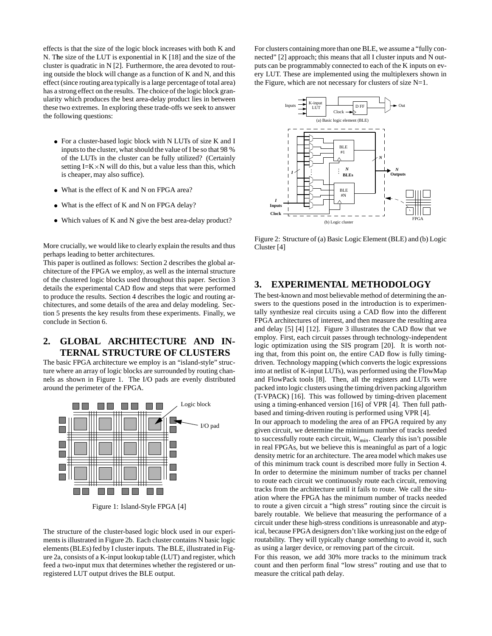effects is that the size of the logic block increases with both K and N. The size of the LUT is exponential in K [18] and the size of the cluster is quadratic in N [2]. Furthermore, the area devoted to routing outside the block will change as a function of K and N, and this effect (since routing area typically is a large percentage of total area) has a strong effect on the results. The choice of the logic block granularity which produces the best area-delay product lies in between these two extremes. In exploring these trade-offs we seek to answer the following questions:

- For a cluster-based logic block with N LUTs of size K and I inputs to the cluster, what should the value of I be so that 98 % of the LUTs in the cluster can be fully utilized? (Certainly setting  $I=K\times N$  will do this, but a value less than this, which is cheaper, may also suffice).
- What is the effect of K and N on FPGA area?
- What is the effect of K and N on FPGA delay?
- Which values of K and N give the best area-delay product?

More crucially, we would like to clearly explain the results and thus perhaps leading to better architectures.

This paper is outlined as follows: Section 2 describes the global architecture of the FPGA we employ, as well as the internal structure of the clustered logic blocks used throughout this paper. Section 3 details the experimental CAD flow and steps that were performed to produce the results. Section 4 describes the logic and routing architectures, and some details of the area and delay modeling. Section 5 presents the key results from these experiments. Finally, we conclude in Section 6.

# **2. GLOBAL ARCHITECTURE AND IN-TERNAL STRUCTURE OF CLUSTERS**

The basic FPGA architecture we employ is an "island-style" structure where an array of logic blocks are surrounded by routing channels as shown in Figure 1. The I/O pads are evenly distributed around the perimeter of the FPGA.



Figure 1: Island-Style FPGA [4]

The structure of the cluster-based logic block used in our experiments is illustrated in Figure 2b. Each cluster contains N basic logic elements (BLEs) fed by I cluster inputs. The BLE, illustrated in Figure 2a, consists of a K-input lookup table (LUT) and register, which feed a two-input mux that determines whether the registered or unregistered LUT output drives the BLE output.

For clusters containing more than one BLE, we assume a "fully connected" [2] approach; this means that all I cluster inputs and N outputs can be programmably connected to each of the K inputs on every LUT. These are implemented using the multiplexers shown in the Figure, which are not necessary for clusters of size  $N=1$ .



Figure 2: Structure of (a) Basic Logic Element (BLE) and (b) Logic Cluster [4]

# **3. EXPERIMENTAL METHODOLOGY**

The best-known and most believable method of determining the answers to the questions posed in the introduction is to experimentally synthesize real circuits using a CAD flow into the different FPGA architectures of interest, and then measure the resulting area and delay [5] [4] [12]. Figure 3 illustrates the CAD flow that we employ. First, each circuit passes through technology-independent logic optimization using the SIS program [20]. It is worth noting that, from this point on, the entire CAD flow is fully timingdriven. Technology mapping (which converts the logic expressions into at netlist of K-input LUTs), was performed using the FlowMap and FlowPack tools [8]. Then, all the registers and LUTs were packed into logic clusters using the timing driven packing algorithm (T-VPACK) [16]. This was followed by timing-driven placement using a timing-enhanced version [16] of VPR [4]. Then full pathbased and timing-driven routing is performed using VPR [4].

In our approach to modeling the area of an FPGA required by any given circuit, we determine the minimum number of tracks needed to successfully route each circuit, W*min*. Clearly this isn't possible in real FPGAs, but we believe this is meaningful as part of a logic density metric for an architecture. The area model which makes use of this minimum track count is described more fully in Section 4. In order to determine the minimum number of tracks per channel to route each circuit we continuously route each circuit, removing tracks from the architecture until it fails to route. We call the situation where the FPGA has the minimum number of tracks needed to route a given circuit a "high stress" routing since the circuit is barely routable. We believe that measuring the performance of a circuit under these high-stress conditions is unreasonable and atypical, because FPGA designers don't like working just on the edge of routability. They will typically change something to avoid it, such as using a larger device, or removing part of the circuit.

For this reason, we add 30% more tracks to the minimum track count and then perform final "low stress" routing and use that to measure the critical path delay.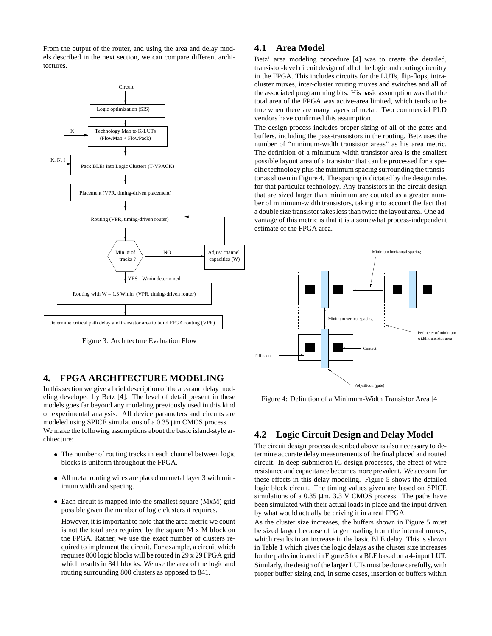From the output of the router, and using the area and delay models described in the next section, we can compare different architectures.



Figure 3: Architecture Evaluation Flow

## **4. FPGA ARCHITECTURE MODELING**

In this section we give a brief description of the area and delay modeling developed by Betz [4]. The level of detail present in these models goes far beyond any modeling previously used in this kind of experimental analysis. All device parameters and circuits are modeled using SPICE simulations of a 0.35  $\mu$ m CMOS process. We make the following assumptions about the basic island-style architecture:

- The number of routing tracks in each channel between logic blocks is uniform throughout the FPGA.
- All metal routing wires are placed on metal layer 3 with minimum width and spacing.
- Each circuit is mapped into the smallest square (MxM) grid possible given the number of logic clusters it requires.

However, it is important to note that the area metric we count is not the total area required by the square M x M block on the FPGA. Rather, we use the exact number of clusters required to implement the circuit. For example, a circuit which requires 800 logic blocks will be routed in 29 x 29 FPGA grid which results in 841 blocks. We use the area of the logic and routing surrounding 800 clusters as opposed to 841.

# **4.1 Area Model**

Betz' area modeling procedure [4] was to create the detailed, transistor-level circuit design of all of the logic and routing circuitry in the FPGA. This includes circuits for the LUTs, flip-flops, intracluster muxes, inter-cluster routing muxes and switches and all of the associated programming bits. His basic assumption wasthat the total area of the FPGA was active-area limited, which tends to be true when there are many layers of metal. Two commercial PLD vendors have confirmed this assumption.

The design process includes proper sizing of all of the gates and buffers, including the pass-transistors in the routing. Betz uses the number of "minimum-width transistor areas" as his area metric. The definition of a minimum-width transistor area is the smallest possible layout area of a transistor that can be processed for a specific technology plus the minimum spacing surrounding the transistor as shown in Figure 4. The spacing is dictated by the design rules for that particular technology. Any transistors in the circuit design that are sized larger than minimum are counted as a greater number of minimum-width transistors, taking into account the fact that a double size transistor takes less than twice the layout area. One advantage of this metric is that it is a somewhat process-independent estimate of the FPGA area.



Figure 4: Definition of a Minimum-Width Transistor Area [4]

## **4.2 Logic Circuit Design and Delay Model**

The circuit design process described above is also necessary to determine accurate delay measurements of the final placed and routed circuit. In deep-submicron IC design processes, the effect of wire resistance and capacitance becomesmore prevalent. We account for these effects in this delay modeling. Figure 5 shows the detailed logic block circuit. The timing values given are based on SPICE simulations of a  $0.35 \mu m$ ,  $3.3 \text{ V}$  CMOS process. The paths have been simulated with their actual loads in place and the input driven by what would actually be driving it in a real FPGA.

As the cluster size increases, the buffers shown in Figure 5 must be sized larger because of larger loading from the internal muxes, which results in an increase in the basic BLE delay. This is shown in Table 1 which gives the logic delays as the cluster size increases for the pathsindicated in Figure 5 for a BLE based on a 4-inputLUT. Similarly, the design of the larger LUTs must be done carefully, with proper buffer sizing and, in some cases, insertion of buffers within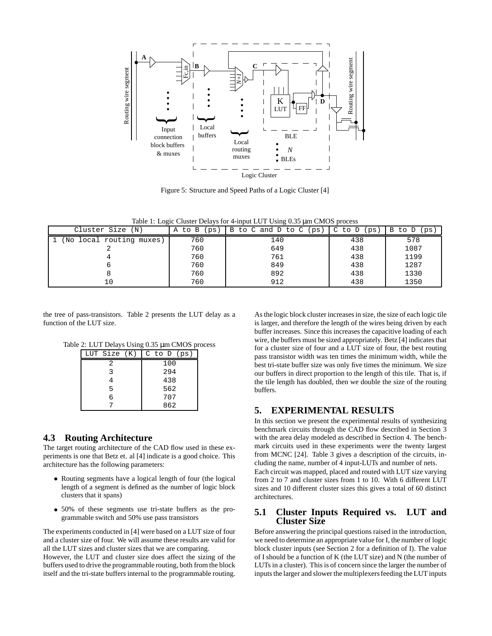

Figure 5: Structure and Speed Paths of a Logic Cluster [4]

Table 1: Logic Cluster Delays for 4-input LUT Using 0.35 µm CMOS process

| Cluster Size (N)           | to B<br>A<br>ps | B to C and D to C<br>(ps) | C<br>to D<br>ps | B to D<br>(ps. |
|----------------------------|-----------------|---------------------------|-----------------|----------------|
| No<br>local routing muxes) | 760             | 140                       | 438             | 578            |
|                            | 760             | 649                       | 438             | 1087           |
|                            | 760             | 761                       | 438             | 1199           |
|                            | 760             | 849                       | 438             | 1287           |
|                            | 760             | 892                       | 438             | 1330           |
| 10                         | 760             | 912                       | 438             | 1350           |

the tree of pass-transistors. Table 2 presents the LUT delay as a function of the LUT size.

Table 2: LUT Delays Using 0.35 µm CMOS process

| LUT Size (K) | $C$ to $D$ (ps) |  |
|--------------|-----------------|--|
| 2            | 100             |  |
| २            | 294             |  |
|              | 438             |  |
| 5            | 562             |  |
| ศ            | 707             |  |
|              | 862             |  |

## **4.3 Routing Architecture**

The target routing architecture of the CAD flow used in these experiments is one that Betz et. al [4] indicate is a good choice. This architecture has the following parameters:

- Routing segments have a logical length of four (the logical length of a segment is defined as the number of logic block clusters that it spans)
- 50% of these segments use tri-state buffers as the programmable switch and 50% use pass transistors

The experiments conducted in [4] were based on a LUT size of four and a cluster size of four. We will assume these results are valid for all the LUT sizes and cluster sizes that we are comparing.

However, the LUT and cluster size does affect the sizing of the buffers used to drive the programmable routing, both from the block itself and the tri-state buffers internal to the programmable routing.

As the logic block cluster increases in size, the size of each logic tile is larger, and therefore the length of the wires being driven by each buffer increases. Since this increases the capacitive loading of each wire, the buffers must be sized appropriately. Betz [4] indicates that for a cluster size of four and a LUT size of four, the best routing pass transistor width was ten times the minimum width, while the best tri-state buffer size was only five times the minimum. We size our buffers in direct proportion to the length of this tile. That is, if the tile length has doubled, then we double the size of the routing buffers.

# **5. EXPERIMENTAL RESULTS**

In this section we present the experimental results of synthesizing benchmark circuits through the CAD flow described in Section 3 with the area delay modeled as described in Section 4. The benchmark circuits used in these experiments were the twenty largest from MCNC [24]. Table 3 gives a description of the circuits, including the name, number of 4 input-LUTs and number of nets.

Each circuit was mapped, placed and routed with LUT size varying from 2 to 7 and cluster sizes from 1 to 10. With 6 different LUT sizes and 10 different cluster sizes this gives a total of 60 distinct architectures.

## **5.1 Cluster Inputs Required vs. LUT and Cluster Size**

Before answering the principal questions raised in the introduction, we need to determine an appropriate value for I, the number of logic block cluster inputs (see Section 2 for a definition of I). The value of I should be a function of K (the LUT size) and N (the number of LUTs in a cluster). This is of concern since the larger the number of inputs the larger and slower the multiplexers feeding the LUT inputs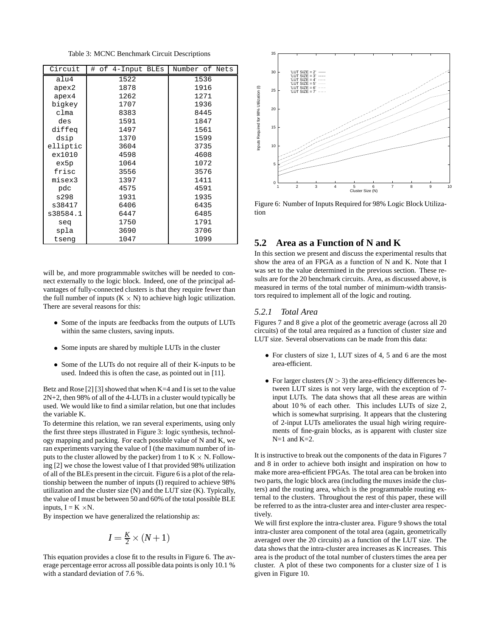Table 3: MCNC Benchmark Circuit Descriptions

| Circuit  | # of 4-Input BLEs | Number of Nets |  |
|----------|-------------------|----------------|--|
| alu4     | 1522              | 1536           |  |
| apex2    | 1878              | 1916           |  |
| apex4    | 1262              | 1271           |  |
| bigkey   | 1707              | 1936           |  |
| clma     | 8383              | 8445           |  |
| des      | 1591              | 1847           |  |
| diffeq   | 1497              | 1561           |  |
| dsip     | 1370              | 1599           |  |
| elliptic | 3604              | 3735           |  |
| ex1010   | 4598              | 4608           |  |
| ex5p     | 1064              | 1072           |  |
| frisc    | 3556              | 3576           |  |
| misex3   | 1397              | 1411           |  |
| pdc      | 4575              | 4591           |  |
| s298     | 1931              | 1935           |  |
| s38417   | 6406              | 6435           |  |
| s38584.1 | 6447              | 6485           |  |
| seq      | 1750              | 1791           |  |
| spla     | 3690              | 3706           |  |
| tseng    | 1047              | 1099           |  |

will be, and more programmable switches will be needed to connect externally to the logic block. Indeed, one of the principal advantages of fully-connected clusters is that they require fewer than the full number of inputs  $(K \times N)$  to achieve high logic utilization. There are several reasons for this:

- Some of the inputs are feedbacks from the outputs of LUTs within the same clusters, saving inputs.
- Some inputs are shared by multiple LUTs in the cluster
- Some of the LUTs do not require all of their K-inputs to be used. Indeed this is often the case, as pointed out in [11].

Betz and Rose [2] [3] showed that when  $K=4$  and I is set to the value 2N+2, then 98% of all of the 4-LUTs in a cluster would typically be used. We would like to find a similar relation, but one that includes the variable K.

To determine this relation, we ran several experiments, using only the first three steps illustrated in Figure 3: logic synthesis, technology mapping and packing. For each possible value of N and K, we ran experiments varying the value of I (the maximum number of inputs to the cluster allowed by the packer) from 1 to  $K \times N$ . Following [2] we chose the lowest value of I that provided 98% utilization of all of the BLEs present in the circuit. Figure 6 is a plot of the relationship between the number of inputs (I) required to achieve 98% utilization and the cluster size (N) and the LUT size (K). Typically, the value of I must be between 50 and 60% of the total possible BLE inputs,  $I = K \times N$ .

By inspection we have generalized the relationship as:

$$
I = \frac{K}{2} \times (N+1)
$$

This equation provides a close fit to the results in Figure 6. The average percentage error across all possible data points is only 10.1 % with a standard deviation of 7.6 %.



Figure 6: Number of Inputs Required for 98% Logic Block Utilization

# **5.2 Area as a Function of N and K**

In this section we present and discuss the experimental results that show the area of an FPGA as a function of N and K. Note that I was set to the value determined in the previous section. These results are for the 20 benchmark circuits. Area, as discussed above, is measured in terms of the total number of minimum-width transistors required to implement all of the logic and routing.

#### *5.2.1 Total Area*

Figures 7 and 8 give a plot of the geometric average (across all 20 circuits) of the total area required as a function of cluster size and LUT size. Several observations can be made from this data:

- For clusters of size 1, LUT sizes of 4, 5 and 6 are the most area-efficient.
- For larger clusters  $(N > 3)$  the area-efficiency differences between LUT sizes is not very large, with the exception of 7 input LUTs. The data shows that all these areas are within about 10 % of each other. This includes LUTs of size 2, which is somewhat surprising. It appears that the clustering of 2-input LUTs ameliorates the usual high wiring requirements of fine-grain blocks, as is apparent with cluster size  $N=1$  and  $K=2$ .

It is instructive to break out the components of the data in Figures 7 and 8 in order to achieve both insight and inspiration on how to make more area-efficient FPGAs. The total area can be broken into two parts, the logic block area (including the muxes inside the clusters) and the routing area, which is the programmable routing external to the clusters. Throughout the rest of this paper, these will be referred to as the intra-cluster area and inter-cluster area respectively.

We will first explore the intra-cluster area. Figure 9 shows the total intra-cluster area component of the total area (again, geometrically averaged over the 20 circuits) as a function of the LUT size. The data shows that the intra-cluster area increases as K increases. This area is the product of the total number of clusters times the area per cluster. A plot of these two components for a cluster size of 1 is given in Figure 10.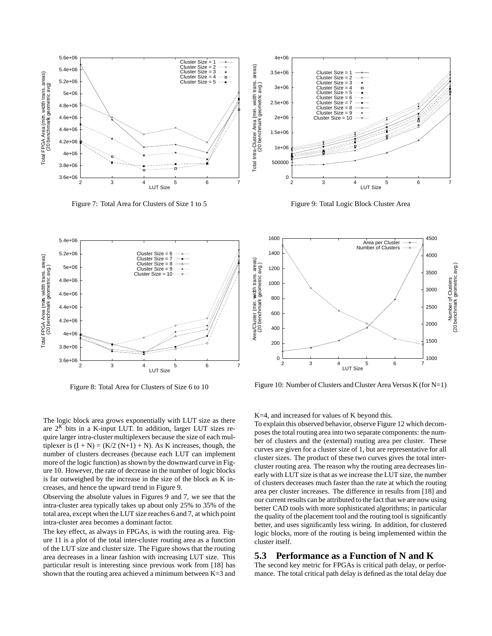

Figure 7: Total Area for Clusters of Size 1 to 5



Figure 8: Total Area for Clusters of Size 6 to 10

The logic block area grows exponentially with LUT size as there are  $2^{K}$  bits in a K-input LUT. In addition, larger LUT sizes require larger intra-cluster multiplexers because the size of each multiplexer is  $(I + N) = (K/2 (N+1) + N)$ . As K increases, though, the number of clusters decreases (because each LUT can implement more of the logic function) as shown by the downward curve in Figure 10. However, the rate of decrease in the number of logic blocks is far outweighed by the increase in the size of the block as K increases, and hence the upward trend in Figure 9.

Observing the absolute values in Figures 9 and 7, we see that the intra-cluster area typically takes up about only 25% to 35% of the total area, except when the LUT size reaches 6 and 7, at which point intra-cluster area becomes a dominant factor.

The key effect, as always in FPGAs, is with the routing area. Figure 11 is a plot of the total inter-cluster routing area as a function of the LUT size and cluster size. The Figure shows that the routing area decreases in a linear fashion with increasing LUT size. This particular result is interesting since previous work from [18] has shown that the routing area achieved a minimum between  $K=3$  and



Figure 9: Total Logic Block Cluster Area



Figure 10: Number of Clusters and Cluster Area Versus K (for N=1)

K=4, and increased for values of K beyond this.

To explain this observed behavior, observe Figure 12 which decomposes the total routing area into two separate components: the number of clusters and the (external) routing area per cluster. These curves are given for a cluster size of 1, but are representative for all cluster sizes. The product of these two curves gives the total intercluster routing area. The reason why the routing area decreases linearly with LUT size isthat as we increase the LUT size, the number of clusters decreases much faster than the rate at which the routing area per cluster increases. The difference in results from [18] and our current results can be attributed to the fact that we are now using better CAD tools with more sophisticated algorithms; in particular the quality of the placement tool and the routing tool is significantly better, and uses significantly less wiring. In addition, for clustered logic blocks, more of the routing is being implemented within the cluster itself.

### **5.3 Performance as a Function of N and K**

The second key metric for FPGAs is critical path delay, or performance. The total critical path delay is defined as the total delay due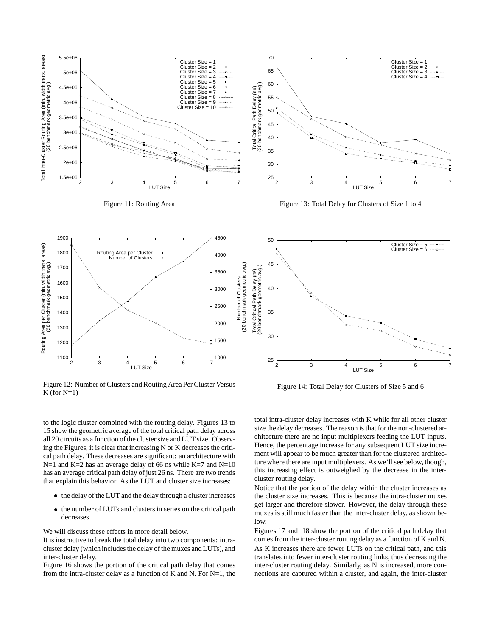

Figure 11: Routing Area





Figure 12: Number of Clusters and Routing Area Per Cluster Versus  $K$  (for  $N=1$ )

50 Cluster  $Size = 5$  $\cdots$  .  $Cluster Size = 6$  $\overline{A}$ Number of Clusters<br>(20 benchmark geometric avg.)<br>Total Critical Path Delay (ns)<br>(20 benchmark geometric avg.) (20 benchmark geometric avg.) Total Critical Path Delay (ns) 40 35 30 25 2 3 4 5 6 7 LUT Size

Figure 14: Total Delay for Clusters of Size 5 and 6

to the logic cluster combined with the routing delay. Figures 13 to 15 show the geometric average of the total critical path delay across all 20 circuits as a function of the cluster size and LUT size. Observing the Figures, it is clear that increasing N or K decreases the critical path delay. These decreases are significant: an architecture with  $N=1$  and K=2 has an average delay of 66 ns while K=7 and N=10 has an average critical path delay of just 26 ns. There are two trends that explain this behavior. As the LUT and cluster size increases:

- the delay of the LUT and the delay through a cluster increases
- the number of LUTs and clusters in series on the critical path decreases

We will discuss these effects in more detail below.

It is instructive to break the total delay into two components: intracluster delay (which includes the delay of the muxes and LUTs), and inter-cluster delay.

Figure 16 shows the portion of the critical path delay that comes from the intra-cluster delay as a function of K and N. For  $N=1$ , the total intra-cluster delay increases with K while for all other cluster size the delay decreases. The reason is that for the non-clustered architecture there are no input multiplexers feeding the LUT inputs. Hence, the percentage increase for any subsequent LUT size increment will appear to be much greater than for the clustered architecture where there are input multiplexers. As we'll see below, though, this increasing effect is outweighed by the decrease in the intercluster routing delay.

Notice that the portion of the delay within the cluster increases as the cluster size increases. This is because the intra-cluster muxes get larger and therefore slower. However, the delay through these muxes is still much faster than the inter-cluster delay, as shown below.

Figures 17 and 18 show the portion of the critical path delay that comes from the inter-cluster routing delay as a function of K and N. As K increases there are fewer LUTs on the critical path, and this translates into fewer inter-cluster routing links, thus decreasing the inter-cluster routing delay. Similarly, as N is increased, more connections are captured within a cluster, and again, the inter-cluster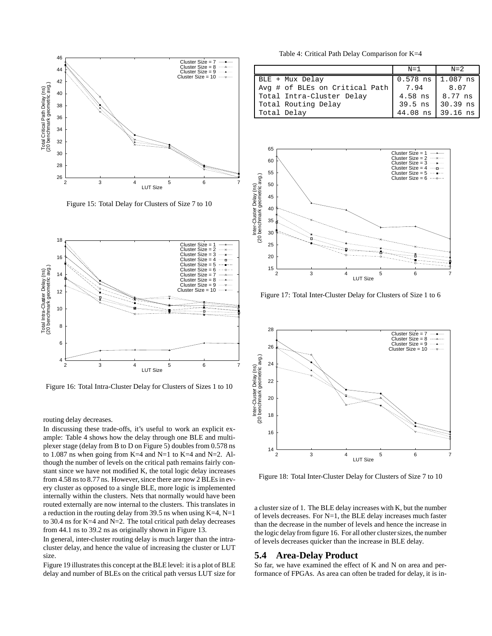

Figure 15: Total Delay for Clusters of Size 7 to 10



Figure 16: Total Intra-Cluster Delay for Clusters of Sizes 1 to 10

routing delay decreases.

In discussing these trade-offs, it's useful to work an explicit example: Table 4 shows how the delay through one BLE and multiplexer stage (delay from B to D on Figure 5) doubles from 0.578 ns to 1.087 ns when going from K=4 and N=1 to K=4 and N=2. Although the number of levels on the critical path remains fairly constant since we have not modified K, the total logic delay increases from 4.58 ns to 8.77 ns. However, since there are now 2 BLEs in every cluster as opposed to a single BLE, more logic is implemented internally within the clusters. Nets that normally would have been routed externally are now internal to the clusters. This translates in a reduction in the routing delay from 39.5 ns when using  $K=4$ ,  $N=1$ to 30.4 ns for K=4 and N=2. The total critical path delay decreases from 44.1 ns to 39.2 ns as originally shown in Figure 13.

In general, inter-cluster routing delay is much larger than the intracluster delay, and hence the value of increasing the cluster or LUT size.

Figure 19 illustrates this concept at the BLE level: it is a plot of BLE delay and number of BLEs on the critical path versus LUT size for

Table 4: Critical Path Delay Comparison for K=4

|                                | $N=1$      | $N=2$           |
|--------------------------------|------------|-----------------|
| BLE + Mux Delay                | $0.578$ ns | $1.087$ ns      |
| Avg # of BLEs on Critical Path | 7.94       | 8.07            |
| Total Intra-Cluster Delay      | $4.58$ ns  | $\vert$ 8.77 ns |
| Total Routing Delay            | $39.5$ ns  | 30.39 ns        |
| Total Delay                    | 44.08 ns   | 39.16 ns        |



Figure 17: Total Inter-Cluster Delay for Clusters of Size 1 to 6



Figure 18: Total Inter-Cluster Delay for Clusters of Size 7 to 10

a cluster size of 1. The BLE delay increases with K, but the number of levels decreases. For N=1, the BLE delay increases much faster than the decrease in the number of levels and hence the increase in the logic delay from figure 16. For all other clustersizes, the number of levels decreases quicker than the increase in BLE delay.

### **5.4 Area-Delay Product**

So far, we have examined the effect of K and N on area and performance of FPGAs. As area can often be traded for delay, it is in-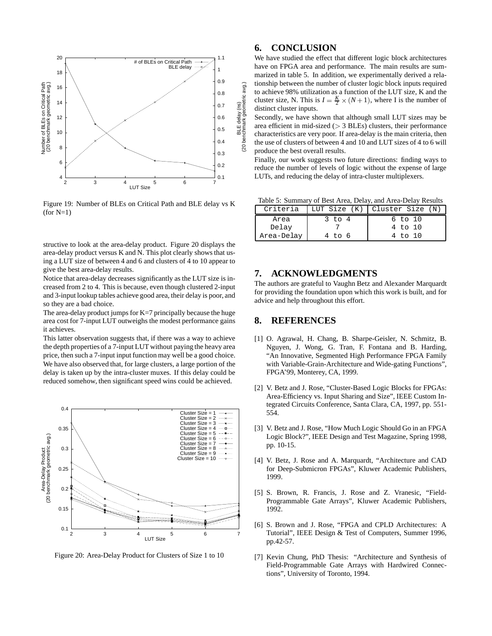

Figure 19: Number of BLEs on Critical Path and BLE delay vs K  $(for N=1)$ 

structive to look at the area-delay product. Figure 20 displays the area-delay product versus K and N. This plot clearly showsthat using a LUT size of between 4 and 6 and clusters of 4 to 10 appear to give the best area-delay results.

Notice that area-delay decreases significantly as the LUT size is increased from 2 to 4. This is because, even though clustered 2-input and 3-input lookup tables achieve good area, their delay is poor, and so they are a bad choice.

The area-delay product jumps for  $K=7$  principally because the huge area cost for 7-input LUT outweighs the modest performance gains it achieves.

This latter observation suggests that, if there was a way to achieve the depth properties of a 7-input LUT without paying the heavy area price, then such a 7-input input function may well be a good choice. We have also observed that, for large clusters, a large portion of the delay is taken up by the intra-cluster muxes. If this delay could be reduced somehow, then significant speed wins could be achieved.



Figure 20: Area-Delay Product for Clusters of Size 1 to 10

# **6. CONCLUSION**

We have studied the effect that different logic block architectures have on FPGA area and performance. The main results are summarized in table 5. In addition, we experimentally derived a relationship between the number of cluster logic block inputs required to achieve 98% utilization as a function of the LUT size, K and the cluster size, N. This is  $I = \frac{K}{2} \times (N + 1)$ , where I is the number of distinct cluster inputs.

Secondly, we have shown that although small LUT sizes may be area efficient in mid-sized  $(> 3$  BLEs) clusters, their performance characteristics are very poor. If area-delay is the main criteria, then the use of clusters of between 4 and 10 and LUT sizes of 4 to 6 will produce the best overall results.

Finally, our work suggests two future directions: finding ways to reduce the number of levels of logic without the expense of large LUTs, and reducing the delay of intra-cluster multiplexers.

Table 5: Summary of Best Area, Delay, and Area-Delay Results

| Criteria   |            | LUT Size (K)   Cluster Size (N) |
|------------|------------|---------------------------------|
| Area       | $3$ to $4$ | $6$ to $10$                     |
| Delay      |            | 4 to 10                         |
| Area-Delay | 4 to 6     | 4 to 10                         |

## **7. ACKNOWLEDGMENTS**

The authors are grateful to Vaughn Betz and Alexander Marquardt for providing the foundation upon which this work is built, and for advice and help throughout this effort.

## **8. REFERENCES**

- [1] O. Agrawal, H. Chang, B. Sharpe-Geisler, N. Schmitz, B. Nguyen, J. Wong, G. Tran, F. Fontana and B. Harding, "An Innovative, Segmented High Performance FPGA Family with Variable-Grain-Architecture and Wide-gating Functions", FPGA'99, Monterey, CA, 1999.
- [2] V. Betz and J. Rose, "Cluster-Based Logic Blocks for FPGAs: Area-Efficiency vs. Input Sharing and Size", IEEE Custom Integrated Circuits Conference, Santa Clara, CA, 1997, pp. 551- 554.
- [3] V. Betz and J. Rose, "How Much Logic Should Go in an FPGA Logic Block?", IEEE Design and Test Magazine, Spring 1998, pp. 10-15.
- [4] V. Betz, J. Rose and A. Marquardt, "Architecture and CAD for Deep-Submicron FPGAs", Kluwer Academic Publishers, 1999.
- [5] S. Brown, R. Francis, J. Rose and Z. Vranesic, "Field-Programmable Gate Arrays", Kluwer Academic Publishers, 1992.
- [6] S. Brown and J. Rose, "FPGA and CPLD Architectures: A Tutorial", IEEE Design & Test of Computers, Summer 1996, pp.42-57.
- [7] Kevin Chung, PhD Thesis: "Architecture and Synthesis of Field-Programmable Gate Arrays with Hardwired Connections", University of Toronto, 1994.